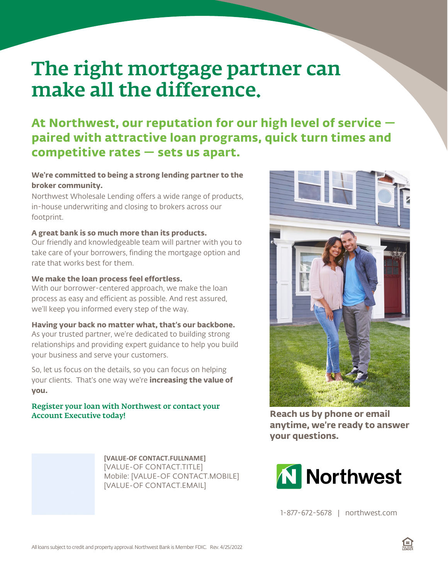# The right mortgage partner can make all the difference.

### **At Northwest, our reputation for our high level of service paired with attractive loan programs, quick turn times and competitive rates — sets us apart.**

#### **We're committed to being a strong lending partner to the broker community.**

Northwest Wholesale Lending offers a wide range of products, in-house underwriting and closing to brokers across our footprint.

#### **A great bank is so much more than its products.**

Our friendly and knowledgeable team will partner with you to take care of your borrowers, finding the mortgage option and rate that works best for them.

#### **We make the loan process feel effortless.**

With our borrower-centered approach, we make the loan process as easy and efficient as possible. And rest assured, we'll keep you informed every step of the way.

#### **Having your back no matter what, that's our backbone.**

As your trusted partner, we're dedicated to building strong relationships and providing expert guidance to help you build your business and serve your customers.

So, let us focus on the details, so you can focus on helping your clients. That's one way we're **increasing the value of you.**

## Register your loan with Northwest or contact your<br>Account Executive today!

**[VALUE-OF CONTACT.FULLNAME]** [VALUE-OF CONTACT.TITLE] Mobile: [VALUE-OF CONTACT.MOBILE] [VALUE-OF CONTACT.EMAIL]



**Reach us by phone or email anytime, we're ready to answer your questions.**



1-877-672-5678 | northwest.com